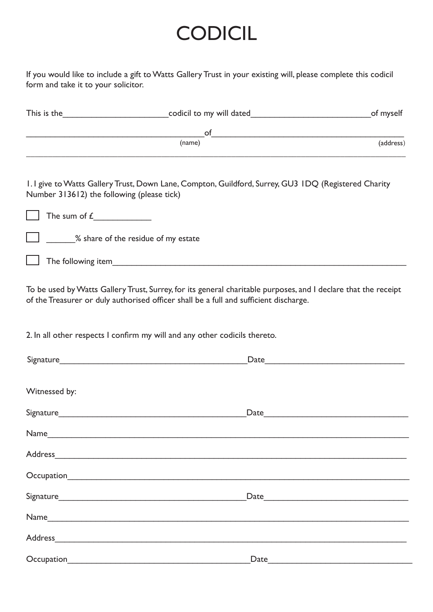## **CODICIL**

If you would like to include a gift to Watts Gallery Trust in your existing will, please complete this codicil form and take it to your solicitor.

| <u> 1989 - Johann Barbara, margaret eta idazlea (h. 1989).</u> | $\circ$ f                                                                                                                                                                                               |           |
|----------------------------------------------------------------|---------------------------------------------------------------------------------------------------------------------------------------------------------------------------------------------------------|-----------|
|                                                                | (name)                                                                                                                                                                                                  | (address) |
|                                                                |                                                                                                                                                                                                         |           |
| Number 313612) the following (please tick)                     | 1.1 give to Watts Gallery Trust, Down Lane, Compton, Guildford, Surrey, GU3 IDQ (Registered Charity                                                                                                     |           |
|                                                                |                                                                                                                                                                                                         |           |
|                                                                | % share of the residue of my estate                                                                                                                                                                     |           |
|                                                                |                                                                                                                                                                                                         |           |
|                                                                | To be used by Watts Gallery Trust, Surrey, for its general charitable purposes, and I declare that the receipt<br>of the Treasurer or duly authorised officer shall be a full and sufficient discharge. |           |
|                                                                | 2. In all other respects I confirm my will and any other codicils thereto.                                                                                                                              |           |
|                                                                |                                                                                                                                                                                                         |           |
| Witnessed by:                                                  |                                                                                                                                                                                                         |           |
|                                                                |                                                                                                                                                                                                         |           |
| Name_                                                          |                                                                                                                                                                                                         |           |
|                                                                | Address                                                                                                                                                                                                 |           |
|                                                                |                                                                                                                                                                                                         |           |
|                                                                |                                                                                                                                                                                                         |           |
|                                                                |                                                                                                                                                                                                         |           |
|                                                                | Address                                                                                                                                                                                                 |           |
|                                                                | Date                                                                                                                                                                                                    |           |